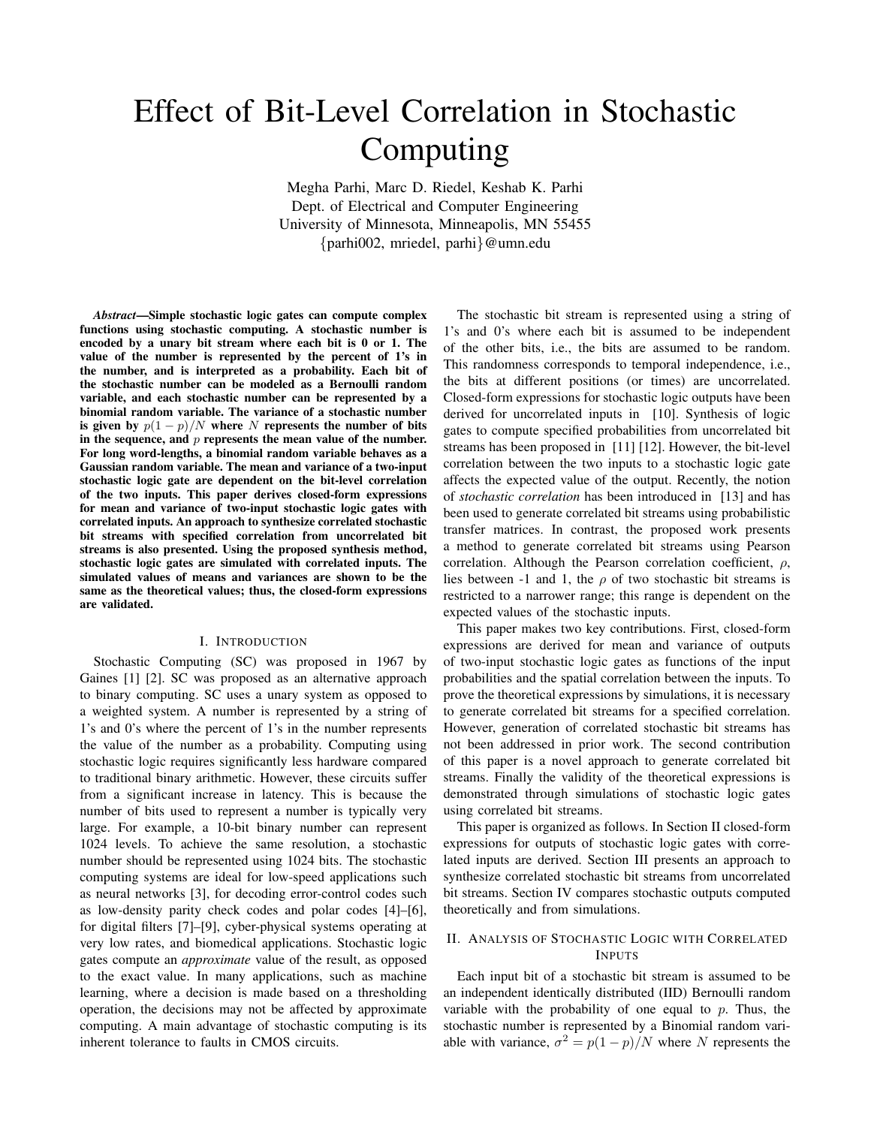# Effect of Bit-Level Correlation in Stochastic Computing

Megha Parhi, Marc D. Riedel, Keshab K. Parhi Dept. of Electrical and Computer Engineering University of Minnesota, Minneapolis, MN 55455 {parhi002, mriedel, parhi}@umn.edu

*Abstract*—Simple stochastic logic gates can compute complex functions using stochastic computing. A stochastic number is encoded by a unary bit stream where each bit is 0 or 1. The value of the number is represented by the percent of 1's in the number, and is interpreted as a probability. Each bit of the stochastic number can be modeled as a Bernoulli random variable, and each stochastic number can be represented by a binomial random variable. The variance of a stochastic number is given by  $p(1-p)/N$  where N represents the number of bits in the sequence, and  $p$  represents the mean value of the number. For long word-lengths, a binomial random variable behaves as a Gaussian random variable. The mean and variance of a two-input stochastic logic gate are dependent on the bit-level correlation of the two inputs. This paper derives closed-form expressions for mean and variance of two-input stochastic logic gates with correlated inputs. An approach to synthesize correlated stochastic bit streams with specified correlation from uncorrelated bit streams is also presented. Using the proposed synthesis method, stochastic logic gates are simulated with correlated inputs. The simulated values of means and variances are shown to be the same as the theoretical values; thus, the closed-form expressions are validated.

## I. INTRODUCTION

Stochastic Computing (SC) was proposed in 1967 by Gaines [1] [2]. SC was proposed as an alternative approach to binary computing. SC uses a unary system as opposed to a weighted system. A number is represented by a string of 1's and 0's where the percent of 1's in the number represents the value of the number as a probability. Computing using stochastic logic requires significantly less hardware compared to traditional binary arithmetic. However, these circuits suffer from a significant increase in latency. This is because the number of bits used to represent a number is typically very large. For example, a 10-bit binary number can represent 1024 levels. To achieve the same resolution, a stochastic number should be represented using 1024 bits. The stochastic computing systems are ideal for low-speed applications such as neural networks [3], for decoding error-control codes such as low-density parity check codes and polar codes [4]–[6], for digital filters [7]–[9], cyber-physical systems operating at very low rates, and biomedical applications. Stochastic logic gates compute an *approximate* value of the result, as opposed to the exact value. In many applications, such as machine learning, where a decision is made based on a thresholding operation, the decisions may not be affected by approximate computing. A main advantage of stochastic computing is its inherent tolerance to faults in CMOS circuits.

The stochastic bit stream is represented using a string of 1's and 0's where each bit is assumed to be independent of the other bits, i.e., the bits are assumed to be random. This randomness corresponds to temporal independence, i.e., the bits at different positions (or times) are uncorrelated. Closed-form expressions for stochastic logic outputs have been derived for uncorrelated inputs in [10]. Synthesis of logic gates to compute specified probabilities from uncorrelated bit streams has been proposed in [11] [12]. However, the bit-level correlation between the two inputs to a stochastic logic gate affects the expected value of the output. Recently, the notion of *stochastic correlation* has been introduced in [13] and has been used to generate correlated bit streams using probabilistic transfer matrices. In contrast, the proposed work presents a method to generate correlated bit streams using Pearson correlation. Although the Pearson correlation coefficient,  $\rho$ , lies between -1 and 1, the  $\rho$  of two stochastic bit streams is restricted to a narrower range; this range is dependent on the expected values of the stochastic inputs.

This paper makes two key contributions. First, closed-form expressions are derived for mean and variance of outputs of two-input stochastic logic gates as functions of the input probabilities and the spatial correlation between the inputs. To prove the theoretical expressions by simulations, it is necessary to generate correlated bit streams for a specified correlation. However, generation of correlated stochastic bit streams has not been addressed in prior work. The second contribution of this paper is a novel approach to generate correlated bit streams. Finally the validity of the theoretical expressions is demonstrated through simulations of stochastic logic gates using correlated bit streams.

This paper is organized as follows. In Section II closed-form expressions for outputs of stochastic logic gates with correlated inputs are derived. Section III presents an approach to synthesize correlated stochastic bit streams from uncorrelated bit streams. Section IV compares stochastic outputs computed theoretically and from simulations.

# II. ANALYSIS OF STOCHASTIC LOGIC WITH CORRELATED INPUTS

Each input bit of a stochastic bit stream is assumed to be an independent identically distributed (IID) Bernoulli random variable with the probability of one equal to  $p$ . Thus, the stochastic number is represented by a Binomial random variable with variance,  $\sigma^2 = p(1-p)/N$  where N represents the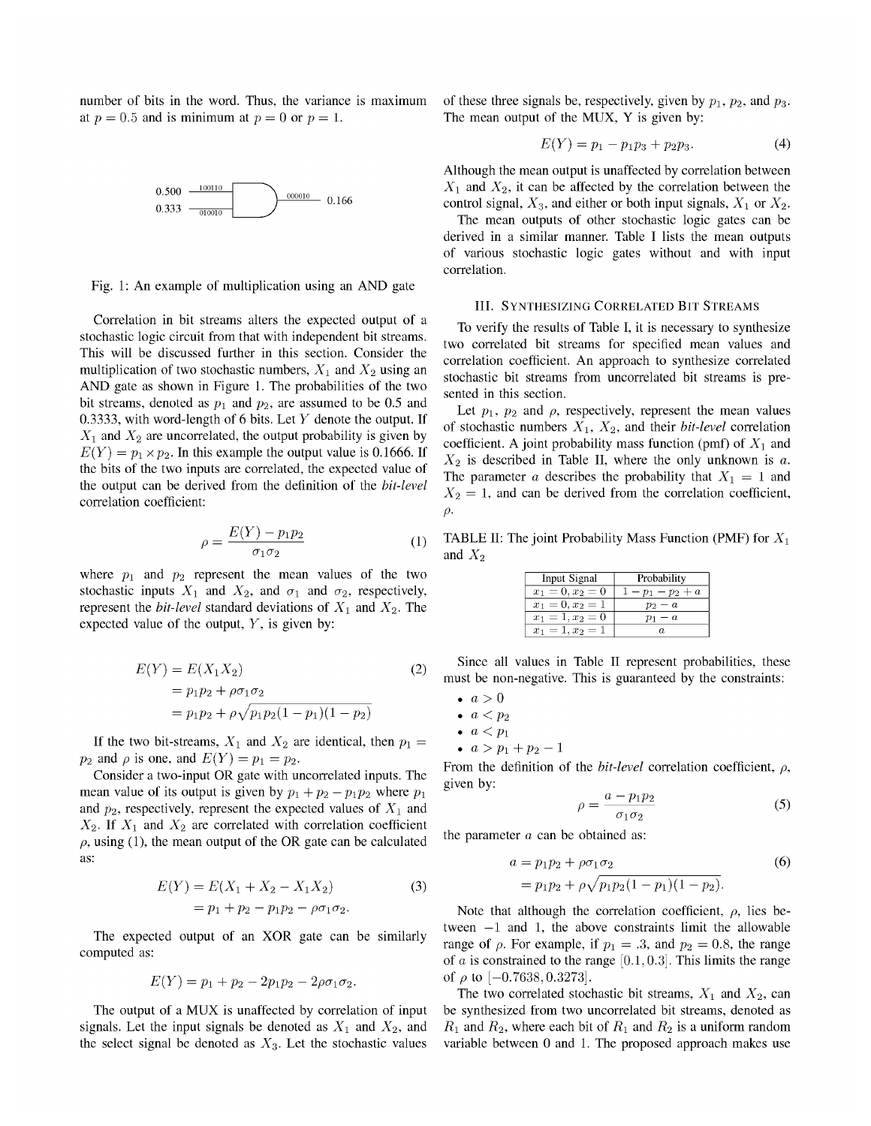number of bits in the word. Thus, the variance is maximum at  $p = 0.5$  and is minimum at  $p = 0$  or  $p = 1$ .



Fig. 1: An example of multiplication using an AND gate

Correlation in bit streams alters the expected output of a stochastic logic circuit from that with independent bit streams. This will be discussed further in this section. Consider the multiplication of two stochastic numbers,  $X_1$  and  $X_2$  using an AND gate as shown in Figure 1. The probabilities of the two bit streams, denoted as  $p_1$  and  $p_2$ , are assumed to be 0.5 and 0.3333, with word-length of 6 bits. Let  $Y$  denote the output. If  $X_1$  and  $X_2$  are uncorrelated, the output probability is given by  $E(Y) = p_1 \times p_2$ . In this example the output value is 0.1666. If the bits of the two inputs are correlated, the expected value of the output can be derived from the definition of the *bit-level* correlation coefficient:

$$
\rho = \frac{E(Y) - p_1 p_2}{\sigma_1 \sigma_2} \tag{1}
$$

where  $p_1$  and  $p_2$  represent the mean values of the two stochastic inputs  $X_1$  and  $X_2$ , and  $\sigma_1$  and  $\sigma_2$ , respectively, represent the *bit-level* standard deviations of  $X_1$  and  $X_2$ . The expected value of the output,  $Y$ , is given by:

$$
E(Y) = E(X_1 X_2)
$$
  
=  $p_1 p_2 + \rho \sigma_1 \sigma_2$   
=  $p_1 p_2 + \rho \sqrt{p_1 p_2 (1 - p_1)(1 - p_2)}$  (2)

If the two bit-streams,  $X_1$  and  $X_2$  are identical, then  $p_1 =$  $p_2$  and  $\rho$  is one, and  $E(Y) = p_1 = p_2$ .

Consider a two-input OR gate with uncorrelated inputs. The mean value of its output is given by  $p_1 + p_2 - p_1 p_2$  where  $p_1$ and  $p_2$ , respectively, represent the expected values of  $X_1$  and  $X_2$ . If  $X_1$  and  $X_2$  are correlated with correlation coefficient  $\rho$ , using (1), the mean output of the OR gate can be calculated as:

$$
E(Y) = E(X_1 + X_2 - X_1 X_2)
$$
  
=  $p_1 + p_2 - p_1 p_2 - \rho \sigma_1 \sigma_2$ . (3)

The expected output of an XOR gate can be similarly computed as:

$$
E(Y) = p_1 + p_2 - 2p_1p_2 - 2\rho\sigma_1\sigma_2.
$$

The output of a MUX is unaffected by correlation of input signals. Let the input signals be denoted as  $X_1$  and  $X_2$ , and the select signal be denoted as  $X_3$ . Let the stochastic values of these three signals be, respectively, given by  $p_1$ ,  $p_2$ , and  $p_3$ . The mean output of the MUX, Y is given by:

$$
E(Y) = p_1 - p_1 p_3 + p_2 p_3. \tag{4}
$$

Although the mean output is unaffected by correlation between  $X_1$  and  $X_2$ , it can be affected by the correlation between the control signal,  $X_3$ , and either or both input signals,  $X_1$  or  $X_2$ .

The mean outputs of other stochastic logic gates can be derived in a similar manner. Table I lists the mean outputs of various stochastic logic gates without and with input correlation.

## III. SYNTHESIZING CORRELATED BIT STREAMS

To verify the results of Table I, it is necessary to synthesize two correlated bit streams for specified mean values and correlation coefficient. An approach to synthesize correlated stochastic bit streams from uncorrelated bit streams is presented in this section.

Let  $p_1$ ,  $p_2$  and  $\rho$ , respectively, represent the mean values of stochastic numbers  $X_1$ ,  $X_2$ , and their *bit-level* correlation coefficient. A joint probability mass function (pmf) of  $X_1$  and  $X_2$  is described in Table II, where the only unknown is a. The parameter a describes the probability that  $X_1 = 1$  and  $X_2 = 1$ , and can be derived from the correlation coefficient,  $\rho$ .

TABLE II: The joint Probability Mass Function (PMF) for  $X_1$ and  $X_2$ 

| Input Signal       | Probability               |
|--------------------|---------------------------|
| $x_1 = 0, x_2 = 0$ | $\lambda - p_1 - p_2 + a$ |
| $x_1 = 0, x_2 = 1$ | $p_2-a$                   |
| $x_1 = 1, x_2 = 0$ | $p_1-a$                   |
| $x_1 = 1, x_2 = 1$ |                           |

Since all values in Table II represent probabilities, these must be non-negative. This is guaranteed by the constraints:

- $a > 0$
- $\bullet \ \ a < p_2$
- $\bullet \ \ a < p_1$
- $a > p_1 + p_2 1$

From the definition of the *bit-level* correlation coefficient,  $\rho$ , given by:

$$
\rho = \frac{a - p_1 p_2}{\sigma_1 \sigma_2} \tag{5}
$$

the parameter  $a$  can be obtained as:

$$
a = p_1 p_2 + \rho \sigma_1 \sigma_2 \tag{6}
$$
  
=  $p_1 p_2 + \rho \sqrt{p_1 p_2 (1 - p_1)(1 - p_2)}$ .

Note that although the correlation coefficient,  $\rho$ , lies between  $-1$  and 1, the above constraints limit the allowable range of  $\rho$ . For example, if  $p_1 = .3$ , and  $p_2 = 0.8$ , the range of *a* is constrained to the range [0.1, 0.3]. This limits the range of  $\rho$  to  $[-0.7638, 0.3273]$ .

The two correlated stochastic bit streams,  $X_1$  and  $X_2$ , can be synthesized from two uncorrelated bit streams, denoted as  $R_1$  and  $R_2$ , where each bit of  $R_1$  and  $R_2$  is a uniform random variable between 0 and 1. The proposed approach makes use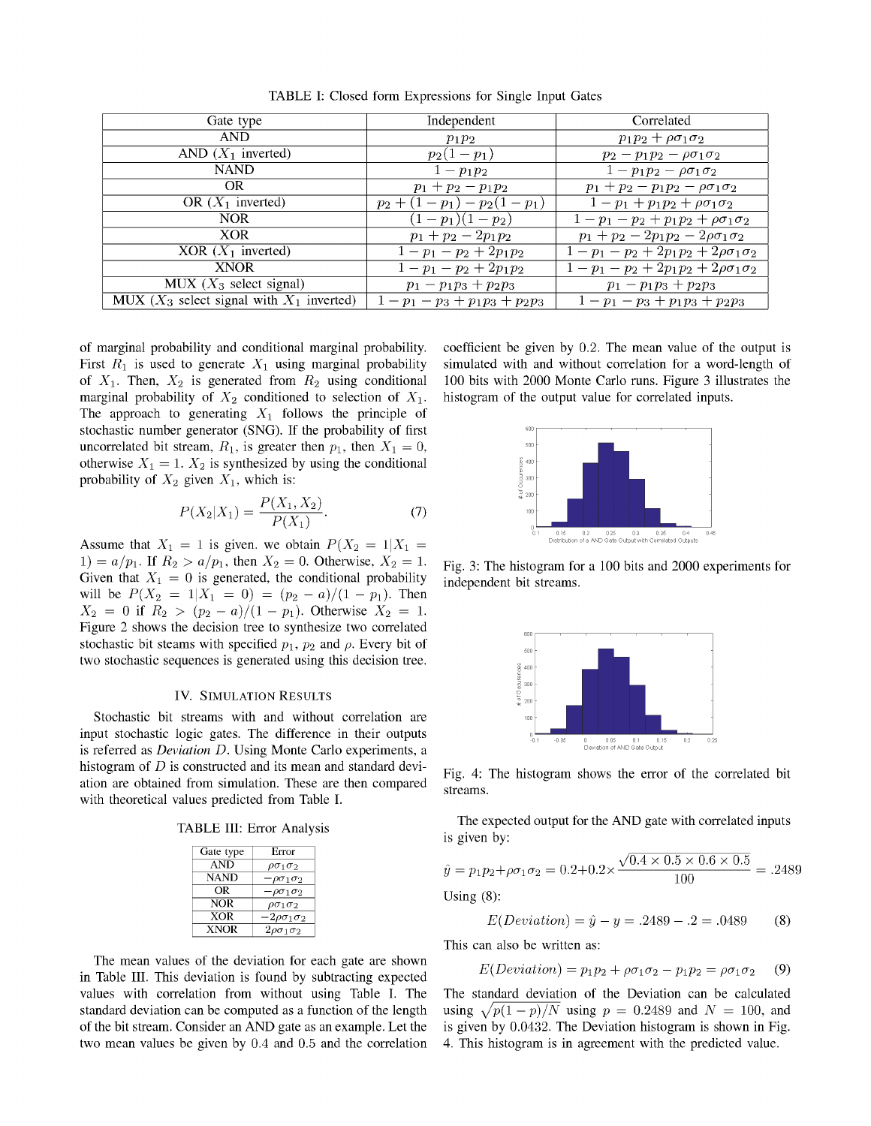| Gate type                                      | Independent               | Correlated                                     |
|------------------------------------------------|---------------------------|------------------------------------------------|
| <b>AND</b>                                     | $p_1p_2$                  | $p_1p_2+\rho\sigma_1\sigma_2$                  |
| AND $(X_1$ inverted)                           | $p_2(1-p_1)$              | $p_2 - p_1 p_2 - \rho \sigma_1 \sigma_2$       |
| <b>NAND</b>                                    | $1-p_1p_2$                | $1 - p_1 p_2 - \rho \sigma_1 \sigma_2$         |
| OR                                             | $p_1 + p_2 - p_1 p_2$     | $p_1 + p_2 - p_1 p_2 - \rho \sigma_1 \sigma_2$ |
| OR $(X_1$ inverted)                            | $p_2+(1-p_1)-p_2(1-p_1)$  | $1-p_1+p_1p_2+\rho\sigma_1\sigma_2$            |
| <b>NOR</b>                                     | $(1-p_1)(1-p_2)$          | $1-p_1-p_2+p_1p_2+\rho\sigma_1\sigma_2$        |
| <b>XOR</b>                                     | $p_1 + p_2 - 2p_1p_2$     | $p_1 + p_2 - 2p_1p_2 - 2\rho\sigma_1\sigma_2$  |
| XOR $(X_1$ inverted)                           | $1-p_1-p_2+2p_1p_2$       | $1-p_1-p_2+2p_1p_2+2\rho\sigma_1\sigma_2$      |
| <b>XNOR</b>                                    | $1-p_1-p_2+2p_1p_2$       | $1-p_1-p_2+2p_1p_2+2\rho\sigma_1\sigma_2$      |
| MUX $(X_3$ select signal)                      | $p_1-p_1p_3+p_2p_3$       | $p_1 - p_1 p_3 + p_2 p_3$                      |
| MUX ( $X_3$ select signal with $X_1$ inverted) | $1-p_1-p_3+p_1p_3+p_2p_3$ | $1-p_1-p_3+p_1p_3+p_2p_3$                      |

TABLE I: Closed form Expressions for Single Input Gates

of marginal probability and conditional marginal probability. First  $R_1$  is used to generate  $X_1$  using marginal probability of  $X_1$ . Then,  $X_2$  is generated from  $R_2$  using conditional marginal probability of  $X_2$  conditioned to selection of  $X_1$ . The approach to generating  $X_1$  follows the principle of stochastic number generator (SNG). If the probability of first uncorrelated bit stream,  $R_1$ , is greater then  $p_1$ , then  $X_1 = 0$ , otherwise  $X_1 = 1$ .  $X_2$  is synthesized by using the conditional probability of  $X_2$  given  $X_1$ , which is:

$$
P(X_2|X_1) = \frac{P(X_1, X_2)}{P(X_1)}.
$$
\n(7)

Assume that  $X_1 = 1$  is given. we obtain  $P(X_2 = 1 | X_1 =$ 1) =  $a/p_1$ . If  $R_2 > a/p_1$ , then  $X_2 = 0$ . Otherwise,  $X_2 = 1$ . Given that  $X_1 = 0$  is generated, the conditional probability will be  $P(X_2 = 1 | X_1 = 0) = (p_2 - a)/(1 - p_1)$ . Then  $X_2 = 0$  if  $R_2 > (p_2 - a)/(1 - p_1)$ . Otherwise  $X_2 = 1$ . Figure 2 shows the decision tree to synthesize two correlated stochastic bit steams with specified  $p_1$ ,  $p_2$  and  $\rho$ . Every bit of two stochastic sequences is generated using this decision tree.

#### **IV. SIMULATION RESULTS**

Stochastic bit streams with and without correlation are input stochastic logic gates. The difference in their outputs is referred as *Deviation D*. Using Monte Carlo experiments, a histogram of  $D$  is constructed and its mean and standard deviation are obtained from simulation. These are then compared with theoretical values predicted from Table I.

TABLE III: Error Analysis

| Gate type | Error                     |
|-----------|---------------------------|
| AND       | $\rho\sigma_1\sigma_2$    |
| NAND      | $-\rho\sigma_1\sigma_2$   |
| OR        | $-\rho\sigma_1\sigma_2$   |
| NOR       | $\rho\sigma_1\sigma_2$    |
| XOR       | -2 $\rho\sigma_1\sigma_2$ |
| XNOR      | $2\rho\sigma_1\sigma_2$   |

The mean values of the deviation for each gate are shown in Table III. This deviation is found by subtracting expected values with correlation from without using Table I. The standard deviation can be computed as a function of the length of the bit stream. Consider an AND gate as an example. Let the two mean values be given by  $0.4$  and  $0.5$  and the correlation

coefficient be given by  $0.2$ . The mean value of the output is simulated with and without correlation for a word-length of 100 bits with 2000 Monte Carlo runs. Figure 3 illustrates the histogram of the output value for correlated inputs.



Fig. 3: The histogram for a 100 bits and 2000 experiments for independent bit streams.



Fig. 4: The histogram shows the error of the correlated bit streams.

The expected output for the AND gate with correlated inputs is given by:

$$
\hat{y} = p_1 p_2 + \rho \sigma_1 \sigma_2 = 0.2 + 0.2 \times \frac{\sqrt{0.4 \times 0.5 \times 0.6 \times 0.5}}{100} = .2489
$$

Using  $(8)$ :

$$
E(Deviation) = \hat{y} - y = .2489 - .2 = .0489
$$
 (8)

This can also be written as:

$$
E(Deviation) = p_1 p_2 + \rho \sigma_1 \sigma_2 - p_1 p_2 = \rho \sigma_1 \sigma_2 \tag{9}
$$

The standard deviation of the Deviation can be calculated using  $\sqrt{p(1-p)/N}$  using  $p = 0.2489$  and  $N = 100$ , and is given by 0.0432. The Deviation histogram is shown in Fig. 4. This histogram is in agreement with the predicted value.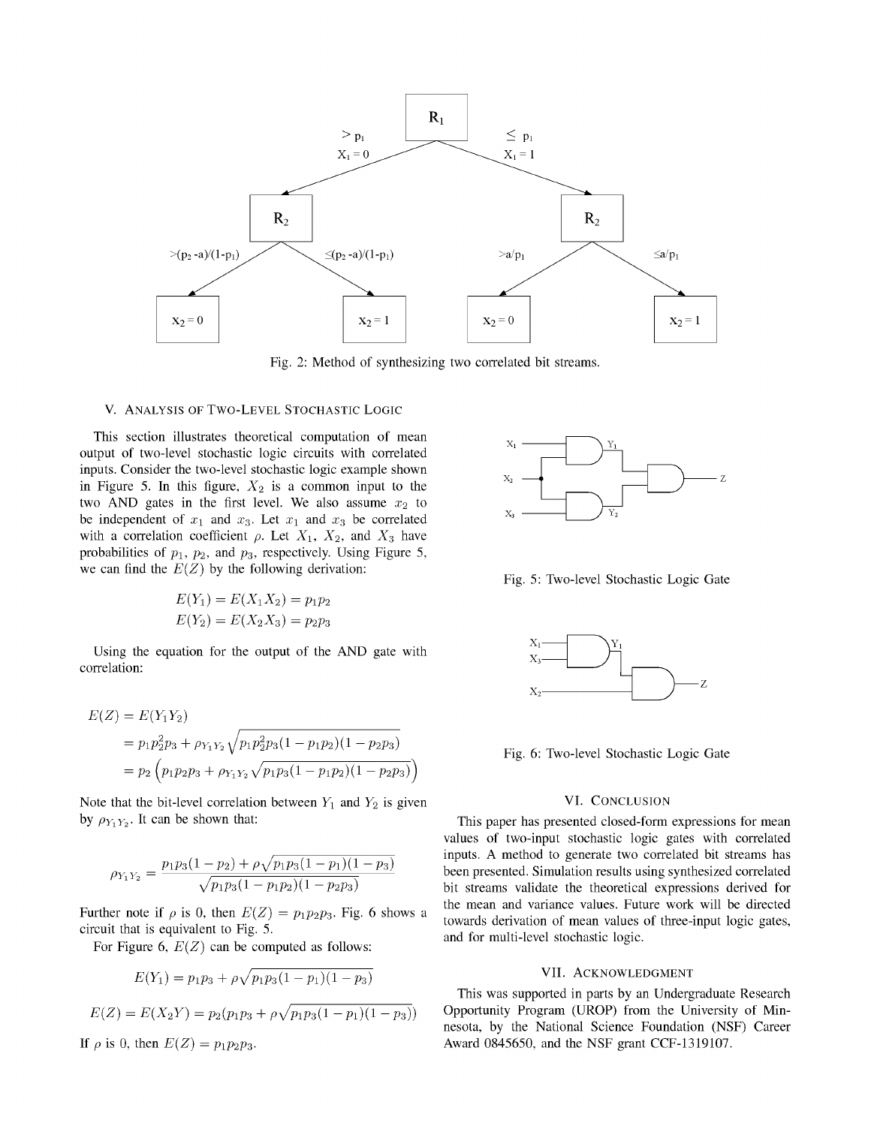

Fig. 2: Method of synthesizing two correlated bit streams.

#### V. ANALYSIS OF TWO-LEVEL STOCHASTIC LOGIC

This section illustrates theoretical computation of mean output of two-level stochastic logic circuits with correlated inputs. Consider the two-level stochastic logic example shown in Figure 5. In this figure,  $X_2$  is a common input to the two AND gates in the first level. We also assume  $x_2$  to be independent of  $x_1$  and  $x_3$ . Let  $x_1$  and  $x_3$  be correlated with a correlation coefficient  $\rho$ . Let  $X_1$ ,  $X_2$ , and  $X_3$  have probabilities of  $p_1$ ,  $p_2$ , and  $p_3$ , respectively. Using Figure 5, we can find the  $E(Z)$  by the following derivation:

$$
E(Y_1) = E(X_1 X_2) = p_1 p_2
$$
  

$$
E(Y_2) = E(X_2 X_3) = p_2 p_3
$$

Using the equation for the output of the AND gate with correlation:

$$
E(Z) = E(Y_1 Y_2)
$$
  
=  $p_1 p_2^2 p_3 + \rho_{Y_1 Y_2} \sqrt{p_1 p_2^2 p_3 (1 - p_1 p_2)(1 - p_2 p_3)}$   
=  $p_2 \left( p_1 p_2 p_3 + \rho_{Y_1 Y_2} \sqrt{p_1 p_3 (1 - p_1 p_2)(1 - p_2 p_3)} \right)$ 

Note that the bit-level correlation between  $Y_1$  and  $Y_2$  is given by  $\rho_{Y_1 Y_2}$ . It can be shown that:

$$
\rho_{Y_1Y_2} = \frac{p_1p_3(1-p_2) + \rho\sqrt{p_1p_3(1-p_1)(1-p_3)}}{\sqrt{p_1p_3(1-p_1p_2)(1-p_2p_3)}}
$$

Further note if  $\rho$  is 0, then  $E(Z) = p_1 p_2 p_3$ . Fig. 6 shows a circuit that is equivalent to Fig. 5.

For Figure 6,  $E(Z)$  can be computed as follows:

$$
E(Y_1) = p_1 p_3 + \rho \sqrt{p_1 p_3 (1 - p_1)(1 - p_3)}
$$
  
\n
$$
E(Z) = E(X_2 Y) = p_2 (p_1 p_3 + \rho \sqrt{p_1 p_3 (1 - p_1)(1 - p_3)})
$$
  
\nIf  $\rho$  is 0, then  $E(Z) = p_1 p_2 p_3$ .



Fig. 5: Two-level Stochastic Logic Gate



Fig. 6: Two-level Stochastic Logic Gate

# VI. CONCLUSION

This paper has presented closed-form expressions for mean values of two-input stochastic logic gates with correlated inputs. A method to generate two correlated bit streams has been presented. Simulation results using synthesized correlated bit streams validate the theoretical expressions derived for the mean and variance values. Future work will be directed towards derivation of mean values of three-input logic gates, and for multi-level stochastic logic.

## VII. ACKNOWLEDGMENT

This was supported in parts by an Undergraduate Research Opportunity Program (UROP) from the University of Minnesota, by the National Science Foundation (NSF) Career Award 0845650, and the NSF grant CCF-1319107.